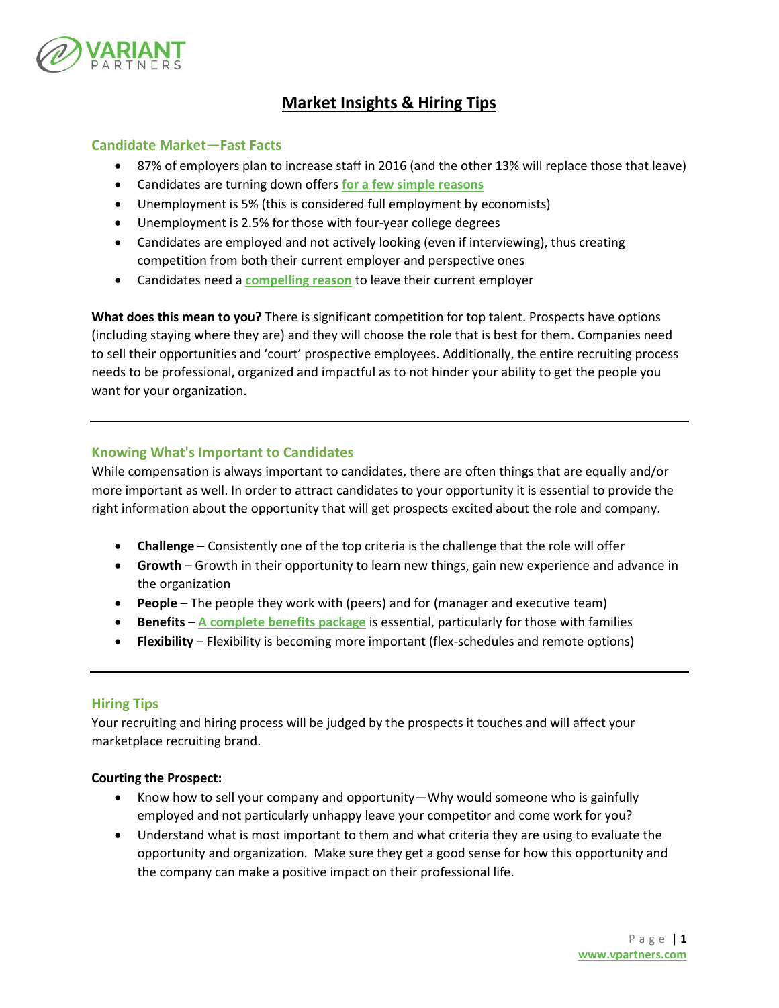

# **Market Insights & Hiring Tips**

## **Candidate Market—Fast Facts**

- 87% of employers plan to increase staff in 2016 (and the other 13% will replace those that leave)
- Candidates are turning down offers **[for a few simple reasons](http://www.recruiting.com/articles/healthcare_companies_fix_these_four_common_recruitment_problems/)**
- Unemployment is 5% (this is considered full employment by economists)
- Unemployment is 2.5% for those with four-year college degrees
- Candidates are employed and not actively looking (even if interviewing), thus creating competition from both their current employer and perspective ones
- Candidates need a **[compelling reason](http://www.entrepreneur.com/article/253123)** to leave their current employer

**What does this mean to you?** There is significant competition for top talent. Prospects have options (including staying where they are) and they will choose the role that is best for them. Companies need to sell their opportunities and 'court' prospective employees. Additionally, the entire recruiting process needs to be professional, organized and impactful as to not hinder your ability to get the people you want for your organization.

# **Knowing What's Important to Candidates**

While compensation is always important to candidates, there are often things that are equally and/or more important as well. In order to attract candidates to your opportunity it is essential to provide the right information about the opportunity that will get prospects excited about the role and company.

- **Challenge** Consistently one of the top criteria is the challenge that the role will offer
- **Growth** Growth in their opportunity to learn new things, gain new experience and advance in the organization
- **People** The people they work with (peers) and for (manager and executive team)
- **Benefits [A complete benefits package](http://www.talentculture.com/the-benefits-employees-want-most/)** is essential, particularly for those with families
- **Flexibility** Flexibility is becoming more important (flex-schedules and remote options)

### **Hiring Tips**

Your recruiting and hiring process will be judged by the prospects it touches and will affect your marketplace recruiting brand.

### **Courting the Prospect:**

- Know how to sell your company and opportunity—Why would someone who is gainfully employed and not particularly unhappy leave your competitor and come work for you?
- Understand what is most important to them and what criteria they are using to evaluate the opportunity and organization. Make sure they get a good sense for how this opportunity and the company can make a positive impact on their professional life.